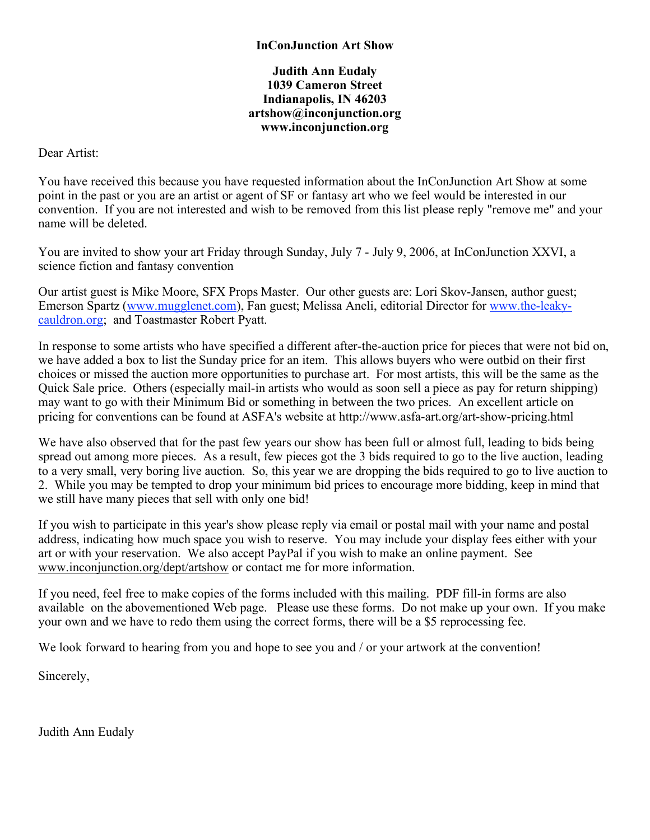## **Judith Ann Eudaly 1039 Cameron Street Indianapolis, IN 46203 artshow@inconjunction.org www.inconjunction.org**

Dear Artist:

You have received this because you have requested information about the InConJunction Art Show at some point in the past or you are an artist or agent of SF or fantasy art who we feel would be interested in our convention. If you are not interested and wish to be removed from this list please reply "remove me" and your name will be deleted.

You are invited to show your art Friday through Sunday, July 7 - July 9, 2006, at InConJunction XXVI, a science fiction and fantasy convention

Our artist guest is Mike Moore, SFX Props Master. Our other guests are: Lori Skov-Jansen, author guest; Emerson Spartz (www.mugglenet.com), Fan guest; Melissa Aneli, editorial Director for www.the-leakycauldron.org; and Toastmaster Robert Pyatt.

In response to some artists who have specified a different after-the-auction price for pieces that were not bid on, we have added a box to list the Sunday price for an item. This allows buyers who were outbid on their first choices or missed the auction more opportunities to purchase art. For most artists, this will be the same as the Quick Sale price. Others (especially mail-in artists who would as soon sell a piece as pay for return shipping) may want to go with their Minimum Bid or something in between the two prices. An excellent article on pricing for conventions can be found at ASFA's website at http://www.asfa-art.org/art-show-pricing.html

We have also observed that for the past few years our show has been full or almost full, leading to bids being spread out among more pieces. As a result, few pieces got the 3 bids required to go to the live auction, leading to a very small, very boring live auction. So, this year we are dropping the bids required to go to live auction to 2. While you may be tempted to drop your minimum bid prices to encourage more bidding, keep in mind that we still have many pieces that sell with only one bid!

If you wish to participate in this year's show please reply via email or postal mail with your name and postal address, indicating how much space you wish to reserve. You may include your display fees either with your art or with your reservation. We also accept PayPal if you wish to make an online payment. See www.inconjunction.org/dept/artshow or contact me for more information.

If you need, feel free to make copies of the forms included with this mailing. PDF fill-in forms are also available on the abovementioned Web page. Please use these forms. Do not make up your own. If you make your own and we have to redo them using the correct forms, there will be a \$5 reprocessing fee.

We look forward to hearing from you and hope to see you and / or your artwork at the convention!

Sincerely,

Judith Ann Eudaly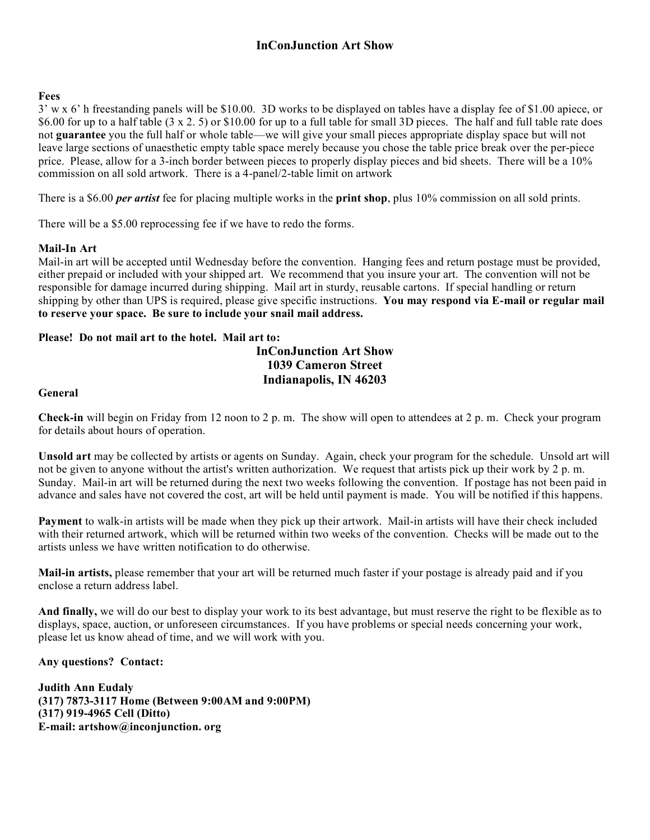## **Fees**

3' w x 6' h freestanding panels will be \$10.00. 3D works to be displayed on tables have a display fee of \$1.00 apiece, or \$6.00 for up to a half table (3 x 2. 5) or \$10.00 for up to a full table for small 3D pieces. The half and full table rate does not **guarantee** you the full half or whole table—we will give your small pieces appropriate display space but will not leave large sections of unaesthetic empty table space merely because you chose the table price break over the per-piece price. Please, allow for a 3-inch border between pieces to properly display pieces and bid sheets. There will be a 10% commission on all sold artwork. There is a 4-panel/2-table limit on artwork

There is a \$6.00 *per artist* fee for placing multiple works in the **print shop**, plus 10% commission on all sold prints.

There will be a \$5.00 reprocessing fee if we have to redo the forms.

### **Mail-In Art**

Mail-in art will be accepted until Wednesday before the convention. Hanging fees and return postage must be provided, either prepaid or included with your shipped art. We recommend that you insure your art. The convention will not be responsible for damage incurred during shipping. Mail art in sturdy, reusable cartons. If special handling or return shipping by other than UPS is required, please give specific instructions. **You may respond via E-mail or regular mail to reserve your space. Be sure to include your snail mail address.**

### **Please! Do not mail art to the hotel. Mail art to:**

# **InConJunction Art Show 1039 Cameron Street Indianapolis, IN 46203**

#### **General**

**Check-in** will begin on Friday from 12 noon to 2 p. m. The show will open to attendees at 2 p. m. Check your program for details about hours of operation.

**Unsold art** may be collected by artists or agents on Sunday. Again, check your program for the schedule. Unsold art will not be given to anyone without the artist's written authorization. We request that artists pick up their work by 2 p. m. Sunday. Mail-in art will be returned during the next two weeks following the convention. If postage has not been paid in advance and sales have not covered the cost, art will be held until payment is made. You will be notified if this happens.

**Payment** to walk-in artists will be made when they pick up their artwork. Mail-in artists will have their check included with their returned artwork, which will be returned within two weeks of the convention. Checks will be made out to the artists unless we have written notification to do otherwise.

**Mail-in artists,** please remember that your art will be returned much faster if your postage is already paid and if you enclose a return address label.

**And finally,** we will do our best to display your work to its best advantage, but must reserve the right to be flexible as to displays, space, auction, or unforeseen circumstances. If you have problems or special needs concerning your work, please let us know ahead of time, and we will work with you.

### **Any questions? Contact:**

**Judith Ann Eudaly (317) 7873-3117 Home (Between 9:00AM and 9:00PM) (317) 919-4965 Cell (Ditto) E-mail: artshow@inconjunction. org**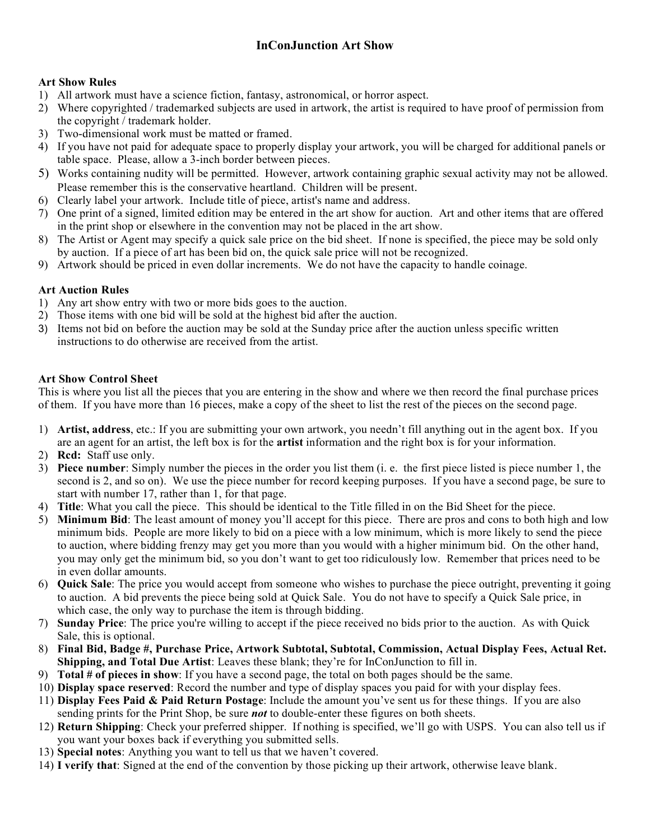## **Art Show Rules**

- 1) All artwork must have a science fiction, fantasy, astronomical, or horror aspect.
- 2) Where copyrighted / trademarked subjects are used in artwork, the artist is required to have proof of permission from the copyright / trademark holder.
- 3) Two-dimensional work must be matted or framed.
- 4) If you have not paid for adequate space to properly display your artwork, you will be charged for additional panels or table space. Please, allow a 3-inch border between pieces.
- 5) Works containing nudity will be permitted. However, artwork containing graphic sexual activity may not be allowed. Please remember this is the conservative heartland. Children will be present.
- 6) Clearly label your artwork. Include title of piece, artist's name and address.
- 7) One print of a signed, limited edition may be entered in the art show for auction. Art and other items that are offered in the print shop or elsewhere in the convention may not be placed in the art show.
- 8) The Artist or Agent may specify a quick sale price on the bid sheet. If none is specified, the piece may be sold only by auction. If a piece of art has been bid on, the quick sale price will not be recognized.
- 9) Artwork should be priced in even dollar increments. We do not have the capacity to handle coinage.

# **Art Auction Rules**

- 1) Any art show entry with two or more bids goes to the auction.
- 2) Those items with one bid will be sold at the highest bid after the auction.
- 3) Items not bid on before the auction may be sold at the Sunday price after the auction unless specific written instructions to do otherwise are received from the artist.

## **Art Show Control Sheet**

This is where you list all the pieces that you are entering in the show and where we then record the final purchase prices of them. If you have more than 16 pieces, make a copy of the sheet to list the rest of the pieces on the second page.

- 1) **Artist, address**, etc.: If you are submitting your own artwork, you needn't fill anything out in the agent box. If you are an agent for an artist, the left box is for the **artist** information and the right box is for your information.
- 2) **Rcd:** Staff use only.
- 3) **Piece number**: Simply number the pieces in the order you list them (i. e. the first piece listed is piece number 1, the second is 2, and so on). We use the piece number for record keeping purposes. If you have a second page, be sure to start with number 17, rather than 1, for that page.
- 4) **Title**: What you call the piece. This should be identical to the Title filled in on the Bid Sheet for the piece.
- 5) **Minimum Bid**: The least amount of money you'll accept for this piece. There are pros and cons to both high and low minimum bids. People are more likely to bid on a piece with a low minimum, which is more likely to send the piece to auction, where bidding frenzy may get you more than you would with a higher minimum bid. On the other hand, you may only get the minimum bid, so you don't want to get too ridiculously low. Remember that prices need to be in even dollar amounts.
- 6) **Quick Sale**: The price you would accept from someone who wishes to purchase the piece outright, preventing it going to auction. A bid prevents the piece being sold at Quick Sale. You do not have to specify a Quick Sale price, in which case, the only way to purchase the item is through bidding.
- 7) **Sunday Price**: The price you're willing to accept if the piece received no bids prior to the auction. As with Quick Sale, this is optional.
- 8) **Final Bid, Badge #, Purchase Price, Artwork Subtotal, Subtotal, Commission, Actual Display Fees, Actual Ret. Shipping, and Total Due Artist**: Leaves these blank; they're for InConJunction to fill in.
- 9) **Total # of pieces in show**: If you have a second page, the total on both pages should be the same.
- 10) **Display space reserved**: Record the number and type of display spaces you paid for with your display fees.
- 11) **Display Fees Paid & Paid Return Postage**: Include the amount you've sent us for these things. If you are also sending prints for the Print Shop, be sure *not* to double-enter these figures on both sheets.
- 12) **Return Shipping**: Check your preferred shipper. If nothing is specified, we'll go with USPS. You can also tell us if you want your boxes back if everything you submitted sells.
- 13) **Special notes**: Anything you want to tell us that we haven't covered.
- 14) **I verify that**: Signed at the end of the convention by those picking up their artwork, otherwise leave blank.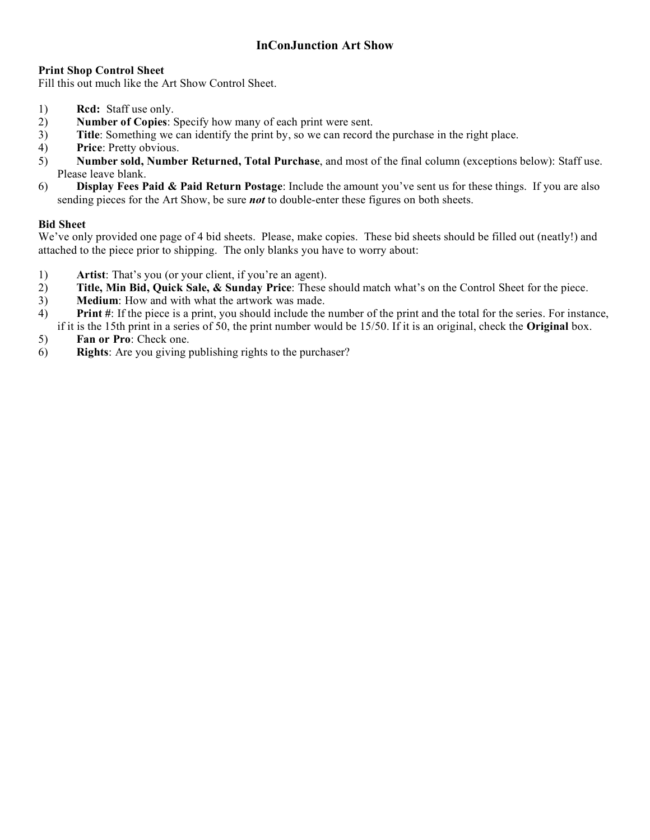## **Print Shop Control Sheet**

Fill this out much like the Art Show Control Sheet.

- 1) **Rcd:** Staff use only.
- 2) **Number of Copies**: Specify how many of each print were sent.
- 3) **Title**: Something we can identify the print by, so we can record the purchase in the right place.
- 4) **Price**: Pretty obvious.
- 5) **Number sold, Number Returned, Total Purchase**, and most of the final column (exceptions below): Staff use. Please leave blank.
- 6) **Display Fees Paid & Paid Return Postage**: Include the amount you've sent us for these things. If you are also sending pieces for the Art Show, be sure *not* to double-enter these figures on both sheets.

## **Bid Sheet**

We've only provided one page of 4 bid sheets. Please, make copies. These bid sheets should be filled out (neatly!) and attached to the piece prior to shipping. The only blanks you have to worry about:

- 1) **Artist**: That's you (or your client, if you're an agent).
- 2) **Title, Min Bid, Quick Sale, & Sunday Price**: These should match what's on the Control Sheet for the piece.
- 3) **Medium**: How and with what the artwork was made.
- 4) **Print #**: If the piece is a print, you should include the number of the print and the total for the series. For instance, if it is the 15th print in a series of 50, the print number would be 15/50. If it is an original, check the **Original** box.
- 5) **Fan or Pro**: Check one.
- 6) **Rights**: Are you giving publishing rights to the purchaser?